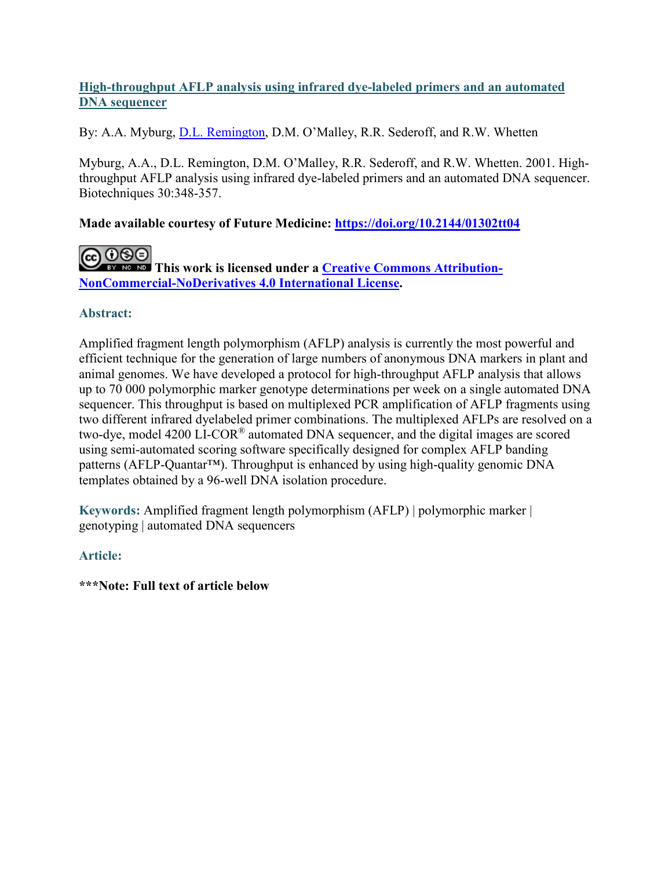#### **High-throughput AFLP analysis using infrared dye-labeled primers and an automated DNA sequencer**

By: A.A. Myburg, [D.L. Remington,](https://libres.uncg.edu/ir/uncg/clist.aspx?id=97) D.M. O'Malley, R.R. Sederoff, and R.W. Whetten

Myburg, A.A., D.L. Remington, D.M. O'Malley, R.R. Sederoff, and R.W. Whetten. 2001. Highthroughput AFLP analysis using infrared dye-labeled primers and an automated DNA sequencer. Biotechniques 30:348-357.

#### **Made available courtesy of Future Medicine:<https://doi.org/10.2144/01302tt04>**

### ക0®⊝

**EX NG NG** This work is licensed under a [Creative Commons Attribution-](http://creativecommons.org/licenses/by-nc-nd/4.0/)**[NonCommercial-NoDerivatives 4.0 International License.](http://creativecommons.org/licenses/by-nc-nd/4.0/)**

#### **Abstract:**

Amplified fragment length polymorphism (AFLP) analysis is currently the most powerful and efficient technique for the generation of large numbers of anonymous DNA markers in plant and animal genomes. We have developed a protocol for high-throughput AFLP analysis that allows up to 70 000 polymorphic marker genotype determinations per week on a single automated DNA sequencer. This throughput is based on multiplexed PCR amplification of AFLP fragments using two different infrared dyelabeled primer combinations. The multiplexed AFLPs are resolved on a two-dye, model 4200 LI-COR® automated DNA sequencer, and the digital images are scored using semi-automated scoring software specifically designed for complex AFLP banding patterns (AFLP-Quantar™). Throughput is enhanced by using high-quality genomic DNA templates obtained by a 96-well DNA isolation procedure.

**Keywords:** Amplified fragment length polymorphism (AFLP) | polymorphic marker | genotyping | automated DNA sequencers

#### **Article:**

**\*\*\*Note: Full text of article below**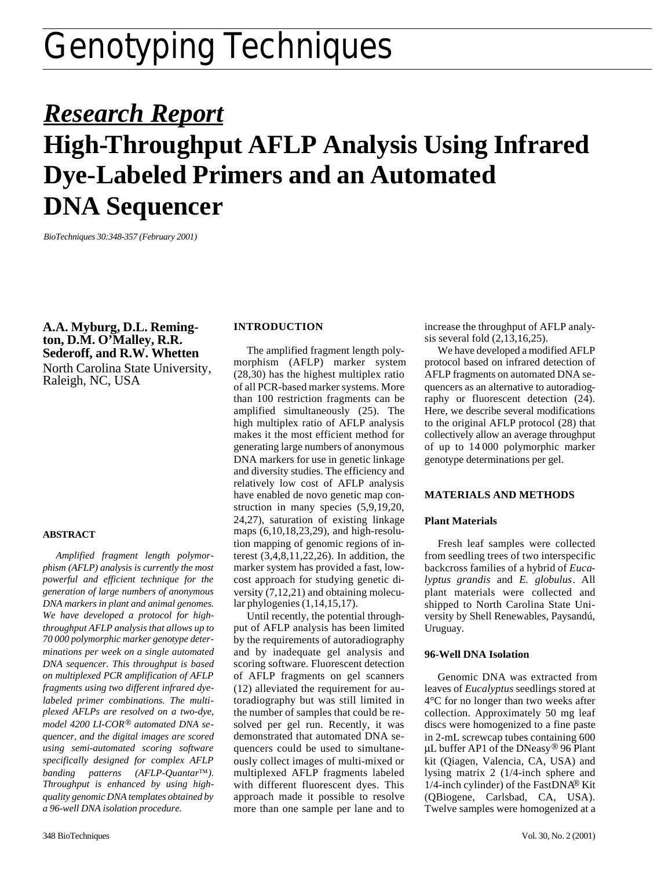### *Research Report* **High-Throughput AFLP Analysis Using Infrared Dye-Labeled Primers and an Automated DNA Sequencer**

*BioTechniques 30:348-357 (February 2001)*

**A.A. Myburg, D.L. Remington, D.M. O'Malley, R.R. Sederoff, and R.W. Whetten** North Carolina State University, Raleigh, NC, USA

#### **ABSTRACT**

*Amplified fragment length polymorphism (AFLP) analysis is currently the most powerful and efficient technique for the generation of large numbers of anonymous DNA markers in plant and animal genomes. We have developed a protocol for highthroughput AFLP analysis that allows up to 70 000 polymorphic marker genotype determinations per week on a single automated DNA sequencer. This throughput is based on multiplexed PCR amplification of AFLP fragments using two different infrared dyelabeled primer combinations. The multiplexed AFLPs are resolved on a two-dye, model 4200 LI-COR automated DNA sequencer, and the digital images are scored using semi-automated scoring software specifically designed for complex AFLP banding patterns (AFLP-Quantar). Throughput is enhanced by using highquality genomic DNA templates obtained by a 96-well DNA isolation procedure.*

#### **INTRODUCTION**

The amplified fragment length polymorphism (AFLP) marker system (28,30) has the highest multiplex ratio of all PCR-based marker systems. More than 100 restriction fragments can be amplified simultaneously (25). The high multiplex ratio of AFLP analysis makes it the most efficient method for generating large numbers of anonymous DNA markers for use in genetic linkage and diversity studies. The efficiency and relatively low cost of AFLP analysis have enabled de novo genetic map construction in many species (5,9,19,20, 24,27), saturation of existing linkage maps (6,10,18,23,29), and high-resolution mapping of genomic regions of interest (3,4,8,11,22,26). In addition, the marker system has provided a fast, lowcost approach for studying genetic diversity (7,12,21) and obtaining molecular phylogenies (1,14,15,17).

Until recently, the potential throughput of AFLP analysis has been limited by the requirements of autoradiography and by inadequate gel analysis and scoring software. Fluorescent detection of AFLP fragments on gel scanners (12) alleviated the requirement for autoradiography but was still limited in the number of samples that could be resolved per gel run. Recently, it was demonstrated that automated DNA sequencers could be used to simultaneously collect images of multi-mixed or multiplexed AFLP fragments labeled with different fluorescent dyes. This approach made it possible to resolve more than one sample per lane and to increase the throughput of AFLP analysis several fold (2,13,16,25).

We have developed a modified AFLP protocol based on infrared detection of AFLP fragments on automated DNA sequencers as an alternative to autoradiography or fluorescent detection (24). Here, we describe several modifications to the original AFLP protocol (28) that collectively allow an average throughput of up to 14 000 polymorphic marker genotype determinations per gel.

#### **MATERIALS AND METHODS**

#### **Plant Materials**

Fresh leaf samples were collected from seedling trees of two interspecific backcross families of a hybrid of *Eucalyptus grandis* and *E. globulus*. All plant materials were collected and shipped to North Carolina State University by Shell Renewables, Paysandú, Uruguay.

#### **96-Well DNA Isolation**

Genomic DNA was extracted from leaves of *Eucalyptus* seedlings stored at 4°C for no longer than two weeks after collection. Approximately 50 mg leaf discs were homogenized to a fine paste in 2-mL screwcap tubes containing 600 µL buffer AP1 of the DNeasy 96 Plant kit (Qiagen, Valencia, CA, USA) and lysing matrix 2 (1/4-inch sphere and  $1/4$ -inch cylinder) of the FastDNA® Kit (QBiogene, Carlsbad, CA, USA). Twelve samples were homogenized at a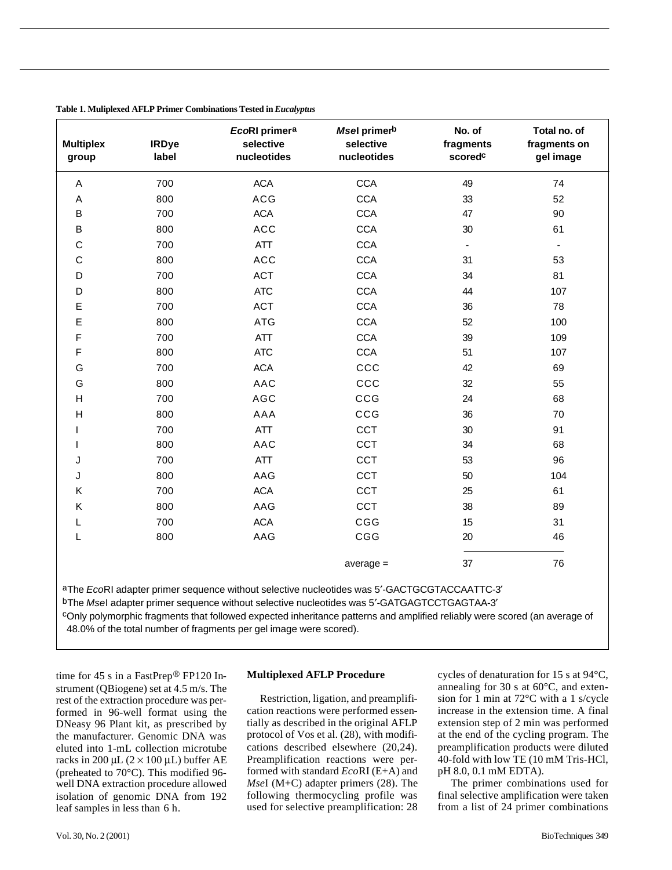| <b>Multiplex</b><br>group | <b>IRDye</b><br>label | EcoRI primer <sup>a</sup><br>selective<br>nucleotides | Msel primerb<br>selective<br>nucleotides | No. of<br>fragments<br>scored <sup>c</sup> | Total no. of<br>fragments on<br>gel image |
|---------------------------|-----------------------|-------------------------------------------------------|------------------------------------------|--------------------------------------------|-------------------------------------------|
| A                         | 700                   | <b>ACA</b>                                            | <b>CCA</b>                               | 49                                         | 74                                        |
| A                         | 800                   | ACG                                                   | <b>CCA</b>                               | 33                                         | 52                                        |
| B                         | 700                   | <b>ACA</b>                                            | <b>CCA</b>                               | 47                                         | 90                                        |
| B                         | 800                   | ACC                                                   | <b>CCA</b>                               | 30                                         | 61                                        |
| $\mathsf C$               | 700                   | ATT                                                   | <b>CCA</b>                               |                                            | ÷.                                        |
| C                         | 800                   | ACC                                                   | <b>CCA</b>                               | 31                                         | 53                                        |
| D                         | 700                   | <b>ACT</b>                                            | <b>CCA</b>                               | 34                                         | 81                                        |
| D                         | 800                   | <b>ATC</b>                                            | <b>CCA</b>                               | 44                                         | 107                                       |
| E                         | 700                   | <b>ACT</b>                                            | <b>CCA</b>                               | 36                                         | 78                                        |
| E                         | 800                   | <b>ATG</b>                                            | <b>CCA</b>                               | 52                                         | 100                                       |
| F                         | 700                   | ATT                                                   | <b>CCA</b>                               | 39                                         | 109                                       |
| F                         | 800                   | <b>ATC</b>                                            | <b>CCA</b>                               | 51                                         | 107                                       |
| G                         | 700                   | <b>ACA</b>                                            | ccc                                      | 42                                         | 69                                        |
| G                         | 800                   | AAC                                                   | ccc                                      | 32                                         | 55                                        |
| H                         | 700                   | AGC                                                   | CCG                                      | 24                                         | 68                                        |
| H                         | 800                   | AAA                                                   | CCG                                      | 36                                         | 70                                        |
|                           | 700                   | ATT                                                   | CCT                                      | 30                                         | 91                                        |
|                           | 800                   | AAC                                                   | <b>CCT</b>                               | 34                                         | 68                                        |
| J                         | 700                   | ATT                                                   | CCT                                      | 53                                         | 96                                        |
| J                         | 800                   | AAG                                                   | CCT                                      | 50                                         | 104                                       |
| Κ                         | 700                   | <b>ACA</b>                                            | CCT                                      | 25                                         | 61                                        |
| Κ                         | 800                   | AAG                                                   | <b>CCT</b>                               | 38                                         | 89                                        |
| L                         | 700                   | <b>ACA</b>                                            | CGG                                      | 15                                         | 31                                        |
| L                         | 800                   | AAG                                                   | CGG                                      | 20                                         | 46                                        |
|                           |                       |                                                       | $average =$                              | 37                                         | 76                                        |

#### **Table 1. Muliplexed AFLP Primer Combinations Tested in** *Eucalyptus*

<sup>a</sup>The *Eco*RI adapter primer sequence without selective nucleotides was 5′-GACTGCGTACCAATTC-3′

<sup>b</sup>The *Mse*I adapter primer sequence without selective nucleotides was 5′-GATGAGTCCTGAGTAA-3′

cOnly polymorphic fragments that followed expected inheritance patterns and amplified reliably were scored (an average of 48.0% of the total number of fragments per gel image were scored).

time for 45 s in a FastPrep $\circledR$  FP120 Instrument (QBiogene) set at 4.5 m/s. The rest of the extraction procedure was performed in 96-well format using the DNeasy 96 Plant kit, as prescribed by the manufacturer. Genomic DNA was eluted into 1-mL collection microtube racks in 200 µL  $(2 \times 100 \,\text{\upmu L})$  buffer AE (preheated to 70°C). This modified 96 well DNA extraction procedure allowed isolation of genomic DNA from 192 leaf samples in less than 6 h.

#### **Multiplexed AFLP Procedure**

Restriction, ligation, and preamplification reactions were performed essentially as described in the original AFLP protocol of Vos et al. (28), with modifications described elsewhere (20,24). Preamplification reactions were performed with standard *Eco*RI (E+A) and *Mse*I (M+C) adapter primers (28). The following thermocycling profile was used for selective preamplification: 28

cycles of denaturation for 15 s at 94°C, annealing for 30 s at 60°C, and extension for 1 min at 72°C with a 1 s/cycle increase in the extension time. A final extension step of 2 min was performed at the end of the cycling program. The preamplification products were diluted 40-fold with low TE (10 mM Tris-HCl, pH 8.0, 0.1 mM EDTA).

The primer combinations used for final selective amplification were taken from a list of 24 primer combinations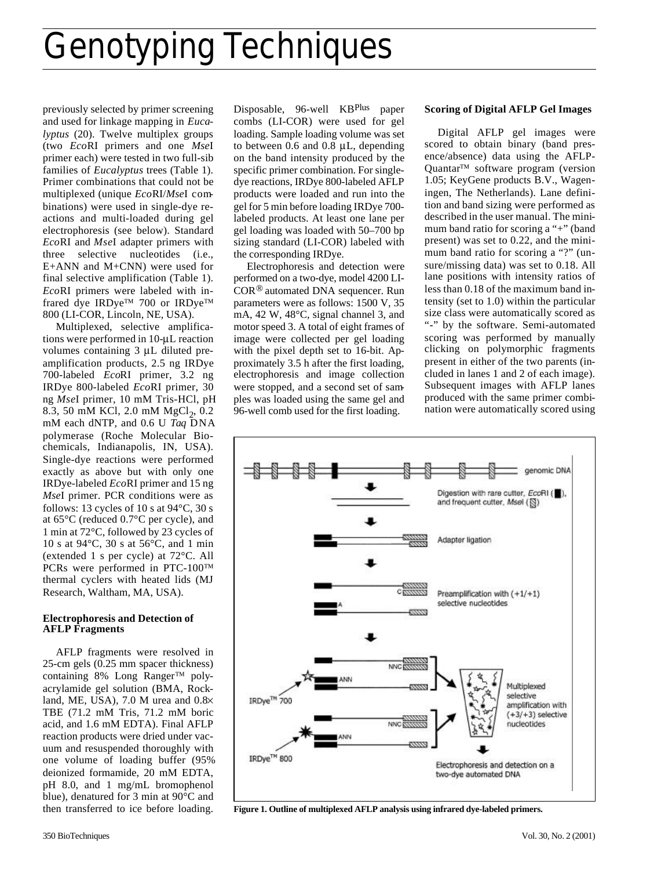previously selected by primer screening and used for linkage mapping in *Eucalyptus* (20). Twelve multiplex groups (two *Eco*RI primers and one *Mse*I primer each) were tested in two full-sib families of *Eucalyptus* trees (Table 1). Primer combinations that could not be multiplexed (unique *Eco*RI/*Mse*I combinations) were used in single-dye reactions and multi-loaded during gel electrophoresis (see below). Standard *Eco*RI and *Mse*I adapter primers with three selective nucleotides (i.e., E+ANN and M+CNN) were used for final selective amplification (Table 1). *Eco*RI primers were labeled with infrared dye IRDye™ 700 or IRDye™ 800 (LI-COR, Lincoln, NE, USA).

Multiplexed, selective amplifications were performed in 10-µL reaction volumes containing 3 µL diluted preamplification products, 2.5 ng IRDye 700-labeled *Eco*RI primer, 3.2 ng IRDye 800-labeled *Eco*RI primer, 30 ng *Mse*I primer, 10 mM Tris-HCl, pH 8.3, 50 mM KCl, 2.0 mM  $MgCl_2$ , 0.2 mM each dNTP, and 0.6 U *Taq* DNA polymerase (Roche Molecular Biochemicals, Indianapolis, IN, USA). Single-dye reactions were performed exactly as above but with only one IRDye-labeled *Eco*RI primer and 15 ng *Mse*I primer. PCR conditions were as follows: 13 cycles of 10 s at  $94^{\circ}$ C, 30 s at 65°C (reduced 0.7°C per cycle), and 1 min at 72°C, followed by 23 cycles of 10 s at 94°C, 30 s at 56°C, and 1 min (extended 1 s per cycle) at 72°C. All PCRs were performed in PTC-100<sup>TM</sup> thermal cyclers with heated lids (MJ Research, Waltham, MA, USA).

#### **Electrophoresis and Detection of AFLP Fragments**

AFLP fragments were resolved in 25-cm gels (0.25 mm spacer thickness) containing 8% Long Ranger<sup>™</sup> polyacrylamide gel solution (BMA, Rockland, ME, USA), 7.0 M urea and 0.8× TBE (71.2 mM Tris, 71.2 mM boric acid, and 1.6 mM EDTA). Final AFLP reaction products were dried under vacuum and resuspended thoroughly with one volume of loading buffer (95% deionized formamide, 20 mM EDTA, pH 8.0, and 1 mg/mL bromophenol blue), denatured for 3 min at 90°C and then transferred to ice before loading.

Disposable, 96-well KBPlus paper combs (LI-COR) were used for gel loading. Sample loading volume was set to between 0.6 and 0.8 µL, depending on the band intensity produced by the specific primer combination. For singledye reactions, IRDye 800-labeled AFLP products were loaded and run into the gel for 5 min before loading IRDye 700 labeled products. At least one lane per gel loading was loaded with 50–700 bp sizing standard (LI-COR) labeled with the corresponding IRDye.

Electrophoresis and detection were performed on a two-dye, model 4200 LI-COR<sup>®</sup> automated DNA sequencer. Run parameters were as follows: 1500 V, 35 mA, 42 W, 48°C, signal channel 3, and motor speed 3. A total of eight frames of image were collected per gel loading with the pixel depth set to 16-bit. Approximately 3.5 h after the first loading, electrophoresis and image collection were stopped, and a second set of samples was loaded using the same gel and 96-well comb used for the first loading.

#### **Scoring of Digital AFLP Gel Images**

Digital AFLP gel images were scored to obtain binary (band presence/absence) data using the AFLP-Quantar<sup> $TM$ </sup> software program (version 1.05; KeyGene products B.V., Wageningen, The Netherlands). Lane definition and band sizing were performed as described in the user manual. The minimum band ratio for scoring a "+" (band present) was set to 0.22, and the minimum band ratio for scoring a "?" (unsure/missing data) was set to 0.18. All lane positions with intensity ratios of less than 0.18 of the maximum band intensity (set to 1.0) within the particular size class were automatically scored as "-" by the software. Semi-automated scoring was performed by manually clicking on polymorphic fragments present in either of the two parents (included in lanes 1 and 2 of each image). Subsequent images with AFLP lanes produced with the same primer combination were automatically scored using



**Figure 1. Outline of multiplexed AFLP analysis using infrared dye-labeled primers.**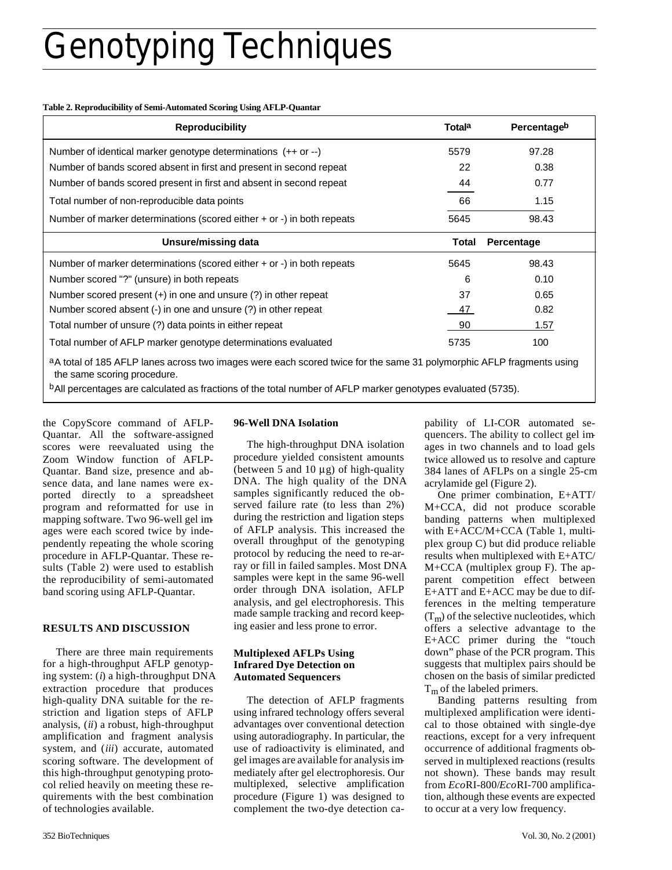#### **Table 2. Reproducibility of Semi-Automated Scoring Using AFLP-Quantar**

| <b>Reproducibility</b>                                                                                                                               | <b>Totala</b> | <b>Percentageb</b> |
|------------------------------------------------------------------------------------------------------------------------------------------------------|---------------|--------------------|
| Number of identical marker genotype determinations (++ or --)                                                                                        | 5579          | 97.28              |
| Number of bands scored absent in first and present in second repeat                                                                                  | 22            | 0.38               |
| Number of bands scored present in first and absent in second repeat                                                                                  | 44            | 0.77               |
| Total number of non-reproducible data points                                                                                                         | 66            | 1.15               |
| Number of marker determinations (scored either $+$ or $-$ ) in both repeats                                                                          | 5645          | 98.43              |
| Unsure/missing data                                                                                                                                  | Total         | Percentage         |
| Number of marker determinations (scored either + or -) in both repeats                                                                               | 5645          | 98.43              |
| Number scored "?" (unsure) in both repeats                                                                                                           | 6             | 0.10               |
| Number scored present (+) in one and unsure (?) in other repeat                                                                                      | 37            | 0.65               |
| Number scored absent (-) in one and unsure (?) in other repeat                                                                                       | 47            | 0.82               |
| Total number of unsure (?) data points in either repeat                                                                                              | 90            | 1.57               |
| Total number of AFLP marker genotype determinations evaluated                                                                                        | 5735          | 100                |
| a A total of 185 AFLP lanes across two images were each scored twice for the same 31 polymorphic AFLP fragments using<br>the same scoring procedure. |               |                    |

bAll percentages are calculated as fractions of the total number of AFLP marker genotypes evaluated (5735).

the CopyScore command of AFLP-Quantar. All the software-assigned scores were reevaluated using the Zoom Window function of AFLP-Quantar. Band size, presence and absence data, and lane names were exported directly to a spreadsheet program and reformatted for use in mapping software. Two 96-well gel images were each scored twice by independently repeating the whole scoring procedure in AFLP-Quantar. These results (Table 2) were used to establish the reproducibility of semi-automated band scoring using AFLP-Quantar.

#### **RESULTS AND DISCUSSION**

There are three main requirements for a high-throughput AFLP genotyping system: (*i*) a high-throughput DNA extraction procedure that produces high-quality DNA suitable for the restriction and ligation steps of AFLP analysis, (*ii*) a robust, high-throughput amplification and fragment analysis system, and (*iii*) accurate, automated scoring software. The development of this high-throughput genotyping protocol relied heavily on meeting these requirements with the best combination of technologies available.

#### **96-Well DNA Isolation**

The high-throughput DNA isolation procedure yielded consistent amounts (between 5 and 10  $\mu$ g) of high-quality DNA. The high quality of the DNA samples significantly reduced the observed failure rate (to less than 2%) during the restriction and ligation steps of AFLP analysis. This increased the overall throughput of the genotyping protocol by reducing the need to re-array or fill in failed samples. Most DNA samples were kept in the same 96-well order through DNA isolation, AFLP analysis, and gel electrophoresis. This made sample tracking and record keeping easier and less prone to error.

#### **Multiplexed AFLPs Using Infrared Dye Detection on Automated Sequencers**

The detection of AFLP fragments using infrared technology offers several advantages over conventional detection using autoradiography. In particular, the use of radioactivity is eliminated, and gel images are available for analysis immediately after gel electrophoresis. Our multiplexed, selective amplification procedure (Figure 1) was designed to complement the two-dye detection capability of LI-COR automated sequencers. The ability to collect gel images in two channels and to load gels twice allowed us to resolve and capture 384 lanes of AFLPs on a single 25-cm acrylamide gel (Figure 2).

One primer combination, E+ATT/ M+CCA, did not produce scorable banding patterns when multiplexed with E+ACC/M+CCA (Table 1, multiplex group C) but did produce reliable results when multiplexed with E+ATC/ M+CCA (multiplex group F). The apparent competition effect between E+ATT and E+ACC may be due to differences in the melting temperature  $(T_m)$  of the selective nucleotides, which offers a selective advantage to the E+ACC primer during the "touch down" phase of the PCR program. This suggests that multiplex pairs should be chosen on the basis of similar predicted  $T<sub>m</sub>$  of the labeled primers.

Banding patterns resulting from multiplexed amplification were identical to those obtained with single-dye reactions, except for a very infrequent occurrence of additional fragments observed in multiplexed reactions (results not shown). These bands may result from *Eco*RI-800/*Eco*RI-700 amplification, although these events are expected to occur at a very low frequency.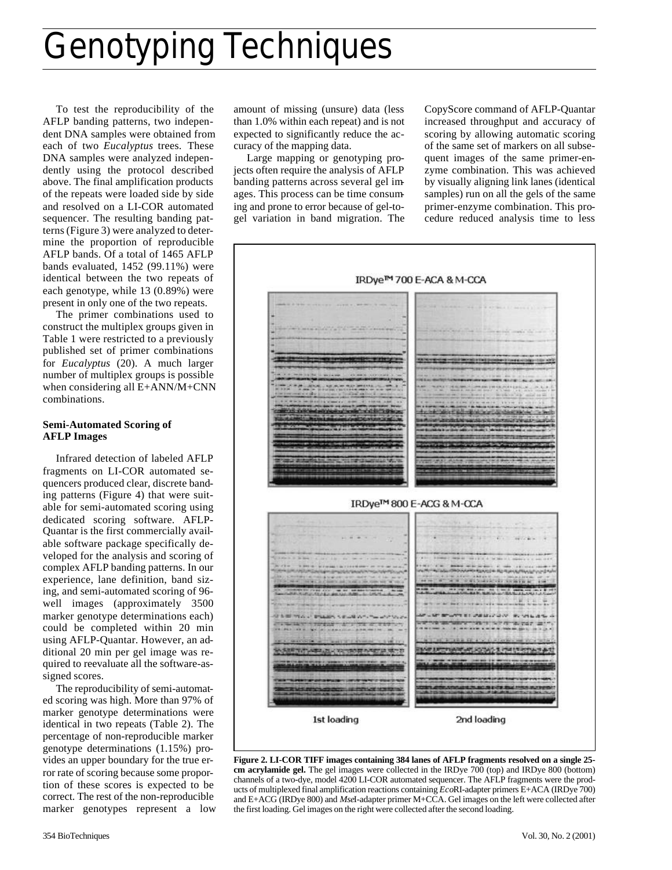To test the reproducibility of the AFLP banding patterns, two independent DNA samples were obtained from each of two *Eucalyptus* trees. These DNA samples were analyzed independently using the protocol described above. The final amplification products of the repeats were loaded side by side and resolved on a LI-COR automated sequencer. The resulting banding patterns (Figure 3) were analyzed to determine the proportion of reproducible AFLP bands. Of a total of 1465 AFLP bands evaluated, 1452 (99.11%) were identical between the two repeats of each genotype, while 13 (0.89%) were present in only one of the two repeats.

The primer combinations used to construct the multiplex groups given in Table 1 were restricted to a previously published set of primer combinations for *Eucalyptus* (20). A much larger number of multiplex groups is possible when considering all E+ANN/M+CNN combinations.

#### **Semi-Automated Scoring of AFLP Images**

Infrared detection of labeled AFLP fragments on LI-COR automated sequencers produced clear, discrete banding patterns (Figure 4) that were suitable for semi-automated scoring using dedicated scoring software. AFLP-Quantar is the first commercially available software package specifically developed for the analysis and scoring of complex AFLP banding patterns. In our experience, lane definition, band sizing, and semi-automated scoring of 96 well images (approximately 3500 marker genotype determinations each) could be completed within 20 min using AFLP-Quantar. However, an additional 20 min per gel image was required to reevaluate all the software-assigned scores.

The reproducibility of semi-automated scoring was high. More than 97% of marker genotype determinations were identical in two repeats (Table 2). The percentage of non-reproducible marker genotype determinations (1.15%) provides an upper boundary for the true error rate of scoring because some proportion of these scores is expected to be correct. The rest of the non-reproducible marker genotypes represent a low amount of missing (unsure) data (less than 1.0% within each repeat) and is not expected to significantly reduce the accuracy of the mapping data.

Large mapping or genotyping projects often require the analysis of AFLP banding patterns across several gel images. This process can be time consuming and prone to error because of gel-togel variation in band migration. The

CopyScore command of AFLP-Quantar increased throughput and accuracy of scoring by allowing automatic scoring of the same set of markers on all subsequent images of the same primer-enzyme combination. This was achieved by visually aligning link lanes (identical samples) run on all the gels of the same primer-enzyme combination. This procedure reduced analysis time to less



**Figure 2. LI-COR TIFF images containing 384 lanes of AFLP fragments resolved on a single 25 cm acrylamide gel.** The gel images were collected in the IRDye 700 (top) and IRDye 800 (bottom) channels of a two-dye, model 4200 LI-COR automated sequencer. The AFLP fragments were the products of multiplexed final amplification reactions containing *Eco*RI-adapter primers E+ACA (IRDye 700) and E+ACG (IRDye 800) and *Mse*I-adapter primer M+CCA. Gel images on the left were collected after the first loading. Gel images on the right were collected after the second loading.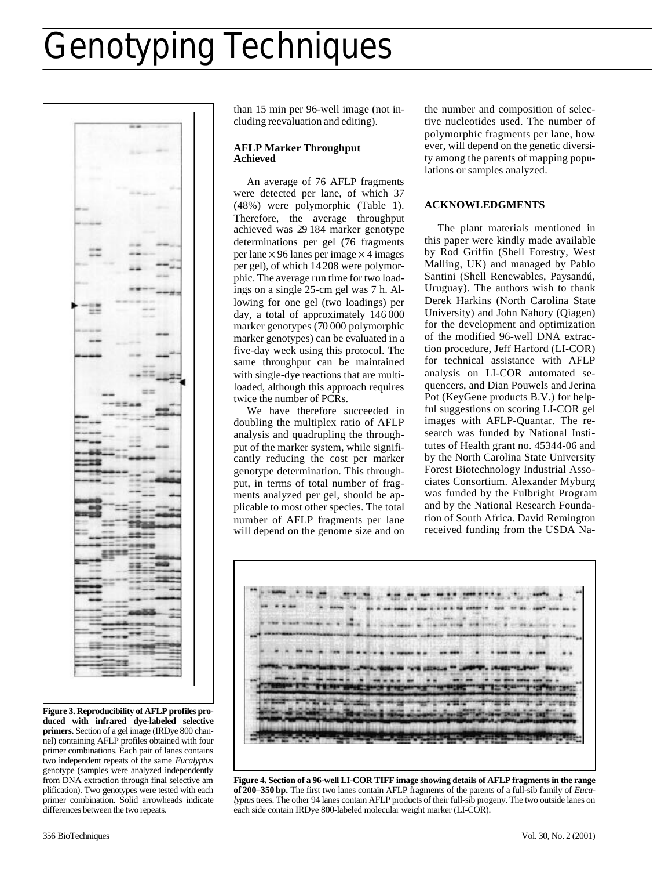

**Figure 3. Reproducibility of AFLP profiles produced with infrared dye-labeled selective primers.** Section of a gel image (IRDye 800 channel) containing AFLP profiles obtained with four primer combinations. Each pair of lanes contains two independent repeats of the same *Eucalyptus* genotype (samples were analyzed independently from DNA extraction through final selective amplification). Two genotypes were tested with each primer combination. Solid arrowheads indicate differences between the two repeats.

than 15 min per 96-well image (not including reevaluation and editing).

#### **AFLP Marker Throughput Achieved**

An average of 76 AFLP fragments were detected per lane, of which 37 (48%) were polymorphic (Table 1). Therefore, the average throughput achieved was 29 184 marker genotype determinations per gel (76 fragments per lane  $\times$  96 lanes per image  $\times$  4 images per gel), of which 14208 were polymorphic. The average run time for two loadings on a single 25-cm gel was 7 h. Allowing for one gel (two loadings) per day, a total of approximately 146 000 marker genotypes (70 000 polymorphic marker genotypes) can be evaluated in a five-day week using this protocol. The same throughput can be maintained with single-dye reactions that are multiloaded, although this approach requires twice the number of PCRs.

We have therefore succeeded in doubling the multiplex ratio of AFLP analysis and quadrupling the throughput of the marker system, while significantly reducing the cost per marker genotype determination. This throughput, in terms of total number of fragments analyzed per gel, should be applicable to most other species. The total number of AFLP fragments per lane will depend on the genome size and on

the number and composition of selective nucleotides used. The number of polymorphic fragments per lane, however, will depend on the genetic diversity among the parents of mapping populations or samples analyzed.

#### **ACKNOWLEDGMENTS**

The plant materials mentioned in this paper were kindly made available by Rod Griffin (Shell Forestry, West Malling, UK) and managed by Pablo Santini (Shell Renewables, Paysandú, Uruguay). The authors wish to thank Derek Harkins (North Carolina State University) and John Nahory (Qiagen) for the development and optimization of the modified 96-well DNA extraction procedure, Jeff Harford (LI-COR) for technical assistance with AFLP analysis on LI-COR automated sequencers, and Dian Pouwels and Jerina Pot (KeyGene products B.V.) for helpful suggestions on scoring LI-COR gel images with AFLP-Quantar. The research was funded by National Institutes of Health grant no. 45344-06 and by the North Carolina State University Forest Biotechnology Industrial Associates Consortium. Alexander Myburg was funded by the Fulbright Program and by the National Research Foundation of South Africa. David Remington received funding from the USDA Na-

**Figure 4. Section of a 96-well LI-COR TIFF image showing details of AFLP fragments in the range of 200–350 bp.** The first two lanes contain AFLP fragments of the parents of a full-sib family of *Eucalyptus*trees. The other 94 lanes contain AFLP products of their full-sib progeny. The two outside lanes on each side contain IRDye 800-labeled molecular weight marker (LI-COR).